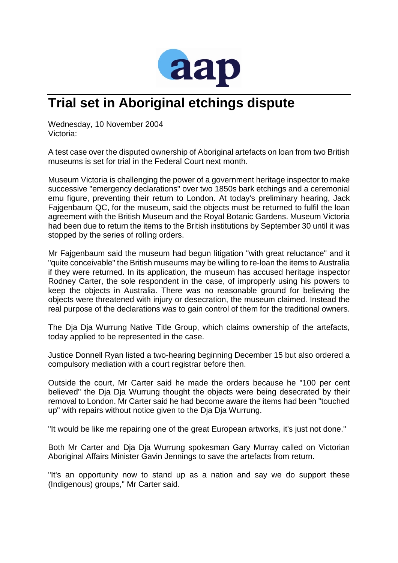

## **Trial set in Aboriginal etchings dispute**

Wednesday, 10 November 2004 Victoria:

A test case over the disputed ownership of Aboriginal artefacts on loan from two British museums is set for trial in the Federal Court next month.

Museum Victoria is challenging the power of a government heritage inspector to make successive "emergency declarations" over two 1850s bark etchings and a ceremonial emu figure, preventing their return to London. At today's preliminary hearing, Jack Fajgenbaum QC, for the museum, said the objects must be returned to fulfil the loan agreement with the British Museum and the Royal Botanic Gardens. Museum Victoria had been due to return the items to the British institutions by September 30 until it was stopped by the series of rolling orders.

Mr Fajgenbaum said the museum had begun litigation "with great reluctance" and it "quite conceivable" the British museums may be willing to re-loan the items to Australia if they were returned. In its application, the museum has accused heritage inspector Rodney Carter, the sole respondent in the case, of improperly using his powers to keep the objects in Australia. There was no reasonable ground for believing the objects were threatened with injury or desecration, the museum claimed. Instead the real purpose of the declarations was to gain control of them for the traditional owners.

The Dja Dja Wurrung Native Title Group, which claims ownership of the artefacts, today applied to be represented in the case.

Justice Donnell Ryan listed a two-hearing beginning December 15 but also ordered a compulsory mediation with a court registrar before then.

Outside the court, Mr Carter said he made the orders because he "100 per cent believed" the Dja Dja Wurrung thought the objects were being desecrated by their removal to London. Mr Carter said he had become aware the items had been "touched up" with repairs without notice given to the Dja Dja Wurrung.

"It would be like me repairing one of the great European artworks, it's just not done."

Both Mr Carter and Dja Dja Wurrung spokesman Gary Murray called on Victorian Aboriginal Affairs Minister Gavin Jennings to save the artefacts from return.

"It's an opportunity now to stand up as a nation and say we do support these (Indigenous) groups," Mr Carter said.